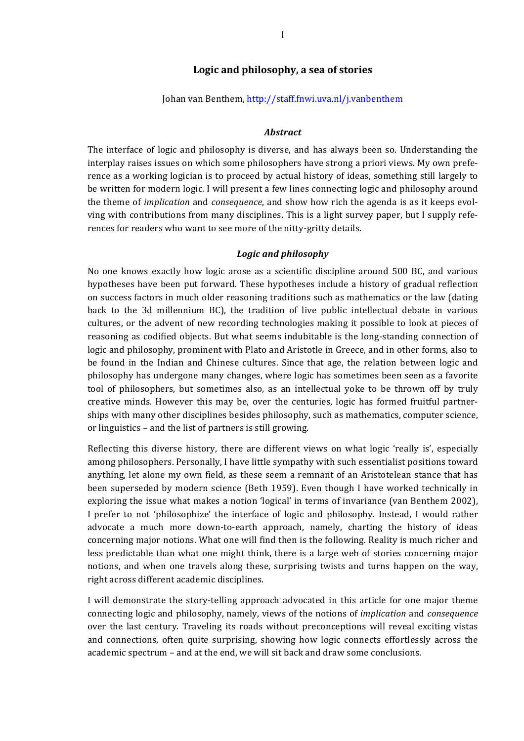## Logic and philosophy, a sea of stories

Johan van Benthem, http://staff.fnwi.uva.nl/j.vanbenthem

#### *Abstract*

The interface of logic and philosophy is diverse, and has always been so. Understanding the interplay raises issues on which some philosophers have strong a priori views. My own preference as a working logician is to proceed by actual history of ideas, something still largely to be written for modern logic. I will present a few lines connecting logic and philosophy around the theme of *implication* and *consequence*, and show how rich the agenda is as it keeps evolving with contributions from many disciplines. This is a light survey paper, but I supply references for readers who want to see more of the nitty-gritty details.

#### *Logic and philosophy*

No one knows exactly how logic arose as a scientific discipline around 500 BC, and various hypotheses have been put forward. These hypotheses include a history of gradual reflection on success factors in much older reasoning traditions such as mathematics or the law (dating back to the 3d millennium BC), the tradition of live public intellectual debate in various cultures, or the advent of new recording technologies making it possible to look at pieces of reasoning as codified objects. But what seems indubitable is the long-standing connection of logic and philosophy, prominent with Plato and Aristotle in Greece, and in other forms, also to be found in the Indian and Chinese cultures. Since that age, the relation between logic and philosophy has undergone many changes, where logic has sometimes been seen as a favorite tool of philosophers, but sometimes also, as an intellectual yoke to be thrown off by truly creative minds. However this may be, over the centuries, logic has formed fruitful partnerships with many other disciplines besides philosophy, such as mathematics, computer science, or linguistics – and the list of partners is still growing.

Reflecting this diverse history, there are different views on what logic 'really is', especially among philosophers. Personally, I have little sympathy with such essentialist positions toward anything, let alone my own field, as these seem a remnant of an Aristotelean stance that has been superseded by modern science (Beth 1959). Even though I have worked technically in exploring the issue what makes a notion 'logical' in terms of invariance (van Benthem 2002), I prefer to not 'philosophize' the interface of logic and philosophy. Instead, I would rather advocate a much more down-to-earth approach, namely, charting the history of ideas concerning major notions. What one will find then is the following. Reality is much richer and less predictable than what one might think, there is a large web of stories concerning major notions, and when one travels along these, surprising twists and turns happen on the way, right across different academic disciplines.

I will demonstrate the story-telling approach advocated in this article for one major theme connecting logic and philosophy, namely, views of the notions of *implication* and *consequence* over the last century. Traveling its roads without preconceptions will reveal exciting vistas and connections, often quite surprising, showing how logic connects effortlessly across the academic spectrum – and at the end, we will sit back and draw some conclusions.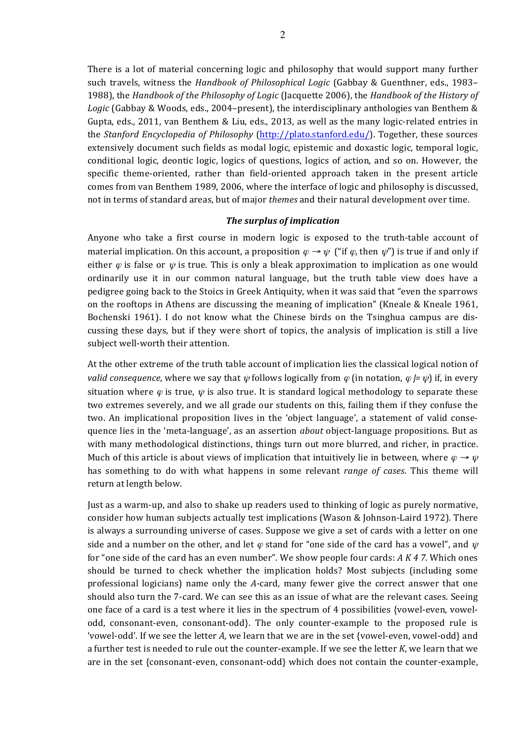There is a lot of material concerning logic and philosophy that would support many further such travels, witness the *Handbook of Philosophical Logic* (Gabbay & Guenthner, eds., 1983– 1988), the *Handbook of the Philosophy of Logic* (Jacquette 2006), the *Handbook of the History of* Logic (Gabbay & Woods, eds., 2004–present), the interdisciplinary anthologies van Benthem & Gupta, eds., 2011, van Benthem & Liu, eds., 2013, as well as the many logic-related entries in the *Stanford Encyclopedia of Philosophy* (http://plato.stanford.edu/). Together, these sources extensively document such fields as modal logic, epistemic and doxastic logic, temporal logic, conditional logic, deontic logic, logics of questions, logics of action, and so on. However, the specific theme-oriented, rather than field-oriented approach taken in the present article comes from van Benthem 1989, 2006, where the interface of logic and philosophy is discussed, not in terms of standard areas, but of major *themes* and their natural development over time.

## *The surplus of implication*

Anyone who take a first course in modern logic is exposed to the truth-table account of material implication. On this account, a proposition  $\varphi \to \psi$  ("if  $\varphi$ , then  $\psi$ ") is true if and only if either  $\varphi$  is false or  $\psi$  is true. This is only a bleak approximation to implication as one would ordinarily use it in our common natural language, but the truth table view does have a pedigree going back to the Stoics in Greek Antiquity, when it was said that "even the sparrows" on the rooftops in Athens are discussing the meaning of implication" (Kneale & Kneale 1961, Bochenski 1961). I do not know what the Chinese birds on the Tsinghua campus are discussing these days, but if they were short of topics, the analysis of implication is still a live subject well-worth their attention.

At the other extreme of the truth table account of implication lies the classical logical notion of *valid consequence*, where we say that  $\psi$  follows logically from  $\varphi$  (in notation,  $\varphi$  *|=*  $\psi$ ) if, in every situation where  $\varphi$  is true,  $\psi$  is also true. It is standard logical methodology to separate these two extremes severely, and we all grade our students on this, failing them if they confuse the two. An implicational proposition lives in the 'object language', a statement of valid consequence lies in the 'meta-language', as an assertion *about* object-language propositions. But as with many methodological distinctions, things turn out more blurred, and richer, in practice. Much of this article is about views of implication that intuitively lie in between, where  $\varphi \rightarrow \psi$ has something to do with what happens in some relevant *range of cases*. This theme will return at length below.

Just as a warm-up, and also to shake up readers used to thinking of logic as purely normative, consider how human subjects actually test implications (Wason & Johnson-Laird 1972). There is always a surrounding universe of cases. Suppose we give a set of cards with a letter on one side and a number on the other, and let  $\varphi$  stand for "one side of the card has a vowel", and  $\psi$ for "one side of the card has an even number". We show people four cards: *A K 4 7.* Which ones should be turned to check whether the implication holds? Most subjects (including some professional logicians) name only the *A*-card, many fewer give the correct answer that one should also turn the 7-card. We can see this as an issue of what are the relevant cases. Seeing one face of a card is a test where it lies in the spectrum of 4 possibilities {vowel-even, vowelodd, consonant-even, consonant-odd}. The only counter-example to the proposed rule is 'vowel-odd'. If we see the letter A, we learn that we are in the set {vowel-even, vowel-odd} and a further test is needed to rule out the counter-example. If we see the letter *K*, we learn that we are in the set {consonant-even, consonant-odd} which does not contain the counter-example,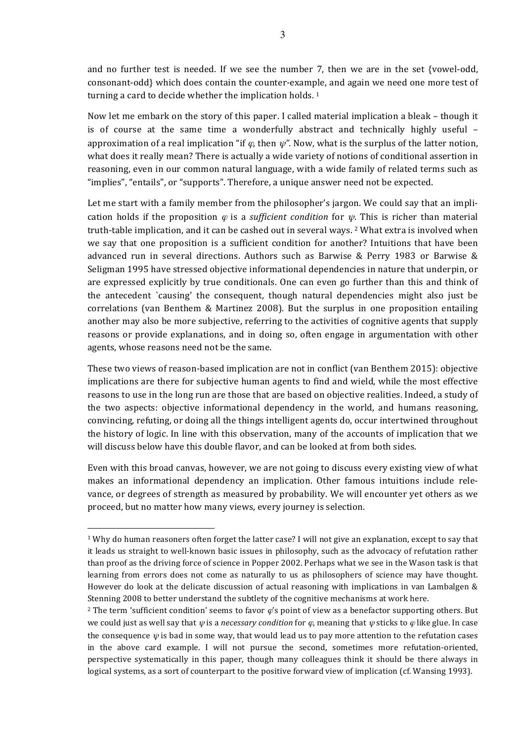and no further test is needed. If we see the number 7, then we are in the set {vowel-odd, consonant-odd} which does contain the counter-example, and again we need one more test of turning a card to decide whether the implication holds.  $1$ 

Now let me embark on the story of this paper. I called material implication a bleak – though it is of course at the same time a wonderfully abstract and technically highly useful  $$ approximation of a real implication "if  $\varphi$ , then  $\psi$ ". Now, what is the surplus of the latter notion, what does it really mean? There is actually a wide variety of notions of conditional assertion in reasoning, even in our common natural language, with a wide family of related terms such as "implies", "entails", or "supports". Therefore, a unique answer need not be expected.

Let me start with a family member from the philosopher's jargon. We could say that an implication holds if the proposition  $\varphi$  is a *sufficient condition* for  $\psi$ . This is richer than material truth-table implication, and it can be cashed out in several ways. <sup>2</sup> What extra is involved when we say that one proposition is a sufficient condition for another? Intuitions that have been advanced run in several directions. Authors such as Barwise & Perry 1983 or Barwise & Seligman 1995 have stressed objective informational dependencies in nature that underpin, or are expressed explicitly by true conditionals. One can even go further than this and think of the antecedent `causing' the consequent, though natural dependencies might also just be correlations (van Benthem & Martinez 2008). But the surplus in one proposition entailing another may also be more subjective, referring to the activities of cognitive agents that supply reasons or provide explanations, and in doing so, often engage in argumentation with other agents, whose reasons need not be the same.

These two views of reason-based implication are not in conflict (van Benthem 2015): objective implications are there for subjective human agents to find and wield, while the most effective reasons to use in the long run are those that are based on objective realities. Indeed, a study of the two aspects: objective informational dependency in the world, and humans reasoning, convincing, refuting, or doing all the things intelligent agents do, occur intertwined throughout the history of logic. In line with this observation, many of the accounts of implication that we will discuss below have this double flavor, and can be looked at from both sides.

Even with this broad canvas, however, we are not going to discuss every existing view of what makes an informational dependency an implication. Other famous intuitions include relevance, or degrees of strength as measured by probability. We will encounter yet others as we proceed, but no matter how many views, every journey is selection.

 $1$  Why do human reasoners often forget the latter case? I will not give an explanation, except to say that it leads us straight to well-known basic issues in philosophy, such as the advocacy of refutation rather than proof as the driving force of science in Popper 2002. Perhaps what we see in the Wason task is that learning from errors does not come as naturally to us as philosophers of science may have thought. However do look at the delicate discussion of actual reasoning with implications in van Lambalgen  $\&$ Stenning 2008 to better understand the subtlety of the cognitive mechanisms at work here.

<sup>&</sup>lt;sup>2</sup> The term 'sufficient condition' seems to favor  $\phi$ 's point of view as a benefactor supporting others. But we could just as well say that  $\psi$  is a *necessary condition* for  $\varphi$ , meaning that  $\psi$  sticks to  $\varphi$  like glue. In case the consequence  $\psi$  is bad in some way, that would lead us to pay more attention to the refutation cases in the above card example. I will not pursue the second, sometimes more refutation-oriented, perspective systematically in this paper, though many colleagues think it should be there always in logical systems, as a sort of counterpart to the positive forward view of implication (cf. Wansing 1993).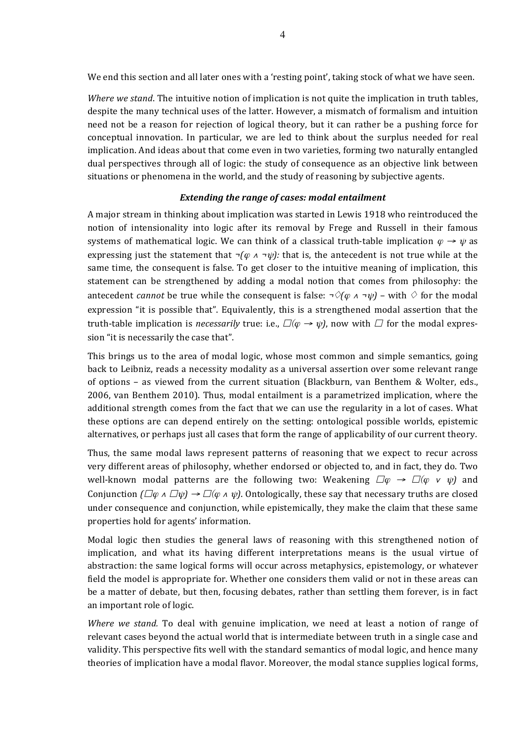We end this section and all later ones with a 'resting point', taking stock of what we have seen.

*Where we stand*. The intuitive notion of implication is not quite the implication in truth tables, despite the many technical uses of the latter. However, a mismatch of formalism and intuition need not be a reason for rejection of logical theory, but it can rather be a pushing force for conceptual innovation. In particular, we are led to think about the surplus needed for real implication. And ideas about that come even in two varieties, forming two naturally entangled dual perspectives through all of logic: the study of consequence as an objective link between situations or phenomena in the world, and the study of reasoning by subjective agents.

#### **Extending the range of cases: modal entailment**

A major stream in thinking about implication was started in Lewis 1918 who reintroduced the notion of intensionality into logic after its removal by Frege and Russell in their famous systems of mathematical logic. We can think of a classical truth-table implication  $\varphi \rightarrow \psi$  as expressing just the statement that  $\neg(\varphi \land \neg \psi)$ : that is, the antecedent is not true while at the same time, the consequent is false. To get closer to the intuitive meaning of implication, this statement can be strengthened by adding a modal notion that comes from philosophy: the antecedent *cannot* be true while the consequent is false:  $\neg \Diamond (\varphi \land \neg \psi)$  – with  $\Diamond$  for the modal expression "it is possible that". Equivalently, this is a strengthened modal assertion that the truth-table implication is *necessarily* true: i.e.,  $\square(\varphi \rightarrow \psi)$ , now with  $\square$  for the modal expression "it is necessarily the case that".

This brings us to the area of modal logic, whose most common and simple semantics, going back to Leibniz, reads a necessity modality as a universal assertion over some relevant range of options – as viewed from the current situation (Blackburn, van Benthem & Wolter, eds., 2006, van Benthem 2010). Thus, modal entailment is a parametrized implication, where the additional strength comes from the fact that we can use the regularity in a lot of cases. What these options are can depend entirely on the setting: ontological possible worlds, epistemic alternatives, or perhaps just all cases that form the range of applicability of our current theory.

Thus, the same modal laws represent patterns of reasoning that we expect to recur across very different areas of philosophy, whether endorsed or objected to, and in fact, they do. Two well-known modal patterns are the following two: Weakening  $\square \varphi \rightarrow \square (\varphi \vee \psi)$  and Conjunction  $(\Box \varphi \land \Box \psi) \rightarrow \Box (\varphi \land \psi)$ . Ontologically, these say that necessary truths are closed under consequence and conjunction, while epistemically, they make the claim that these same properties hold for agents' information.

Modal logic then studies the general laws of reasoning with this strengthened notion of implication, and what its having different interpretations means is the usual virtue of abstraction: the same logical forms will occur across metaphysics, epistemology, or whatever field the model is appropriate for. Whether one considers them valid or not in these areas can be a matter of debate, but then, focusing debates, rather than settling them forever, is in fact an important role of logic.

*Where* we stand. To deal with genuine implication, we need at least a notion of range of relevant cases beyond the actual world that is intermediate between truth in a single case and validity. This perspective fits well with the standard semantics of modal logic, and hence many theories of implication have a modal flavor. Moreover, the modal stance supplies logical forms,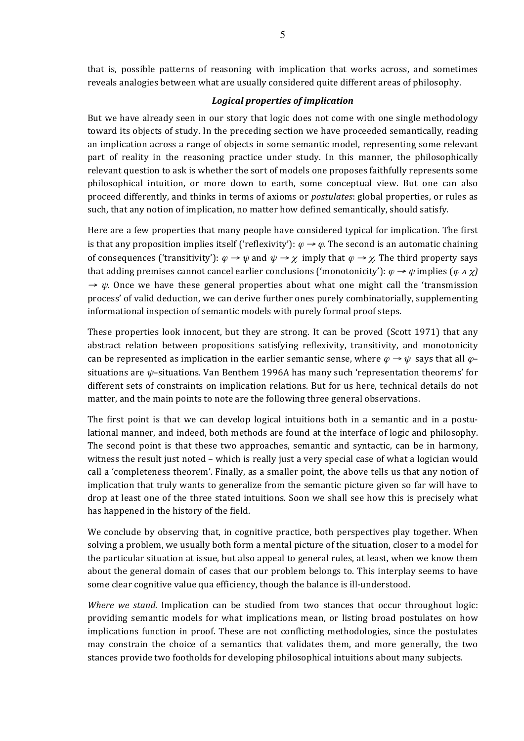that is, possible patterns of reasoning with implication that works across, and sometimes reveals analogies between what are usually considered quite different areas of philosophy.

### *Logical properties of implication*

But we have already seen in our story that logic does not come with one single methodology toward its objects of study. In the preceding section we have proceeded semantically, reading an implication across a range of objects in some semantic model, representing some relevant part of reality in the reasoning practice under study. In this manner, the philosophically relevant question to ask is whether the sort of models one proposes faithfully represents some philosophical intuition, or more down to earth, some conceptual view. But one can also proceed differently, and thinks in terms of axioms or *postulates*: global properties, or rules as such, that any notion of implication, no matter how defined semantically, should satisfy.

Here are a few properties that many people have considered typical for implication. The first is that any proposition implies itself ('reflexivity'):  $\varphi \rightarrow \varphi$ . The second is an automatic chaining of consequences ('transitivity'):  $\varphi \to \psi$  and  $\psi \to \chi$  imply that  $\varphi \to \chi$ . The third property says that adding premises cannot cancel earlier conclusions ('monotonicity'):  $\varphi \rightarrow \psi$  implies  $(\varphi \land \chi)$  $\rightarrow \psi$ . Once we have these general properties about what one might call the 'transmission process' of valid deduction, we can derive further ones purely combinatorially, supplementing informational inspection of semantic models with purely formal proof steps.

These properties look innocent, but they are strong. It can be proved (Scott 1971) that any abstract relation between propositions satisfying reflexivity, transitivity, and monotonicity can be represented as implication in the earlier semantic sense, where  $\varphi \rightarrow \psi$  says that all  $\varphi$ situations are  $\psi$ -situations. Van Benthem 1996A has many such 'representation theorems' for different sets of constraints on implication relations. But for us here, technical details do not matter, and the main points to note are the following three general observations.

The first point is that we can develop logical intuitions both in a semantic and in a postulational manner, and indeed, both methods are found at the interface of logic and philosophy. The second point is that these two approaches, semantic and syntactic, can be in harmony, witness the result just noted – which is really just a very special case of what a logician would call a 'completeness theorem'. Finally, as a smaller point, the above tells us that any notion of implication that truly wants to generalize from the semantic picture given so far will have to drop at least one of the three stated intuitions. Soon we shall see how this is precisely what has happened in the history of the field.

We conclude by observing that, in cognitive practice, both perspectives play together. When solving a problem, we usually both form a mental picture of the situation, closer to a model for the particular situation at issue, but also appeal to general rules, at least, when we know them about the general domain of cases that our problem belongs to. This interplay seems to have some clear cognitive value qua efficiency, though the balance is ill-understood.

*Where* we stand. Implication can be studied from two stances that occur throughout logic: providing semantic models for what implications mean, or listing broad postulates on how implications function in proof. These are not conflicting methodologies, since the postulates may constrain the choice of a semantics that validates them, and more generally, the two stances provide two footholds for developing philosophical intuitions about many subjects.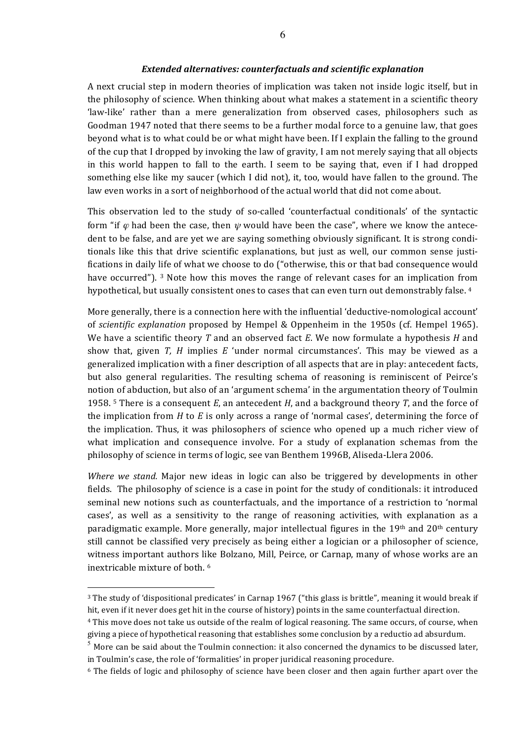#### *Extended alternatives: counterfactuals and scientific explanation*

A next crucial step in modern theories of implication was taken not inside logic itself, but in the philosophy of science. When thinking about what makes a statement in a scientific theory 'law-like' rather than a mere generalization from observed cases, philosophers such as Goodman 1947 noted that there seems to be a further modal force to a genuine law, that goes beyond what is to what could be or what might have been. If I explain the falling to the ground of the cup that I dropped by invoking the law of gravity, I am not merely saying that all objects in this world happen to fall to the earth. I seem to be saying that, even if I had dropped something else like my saucer (which I did not), it, too, would have fallen to the ground. The law even works in a sort of neighborhood of the actual world that did not come about.

This observation led to the study of so-called 'counterfactual conditionals' of the syntactic form "if  $\varphi$  had been the case, then  $\psi$  would have been the case", where we know the antecedent to be false, and are yet we are saying something obviously significant. It is strong conditionals like this that drive scientific explanations, but just as well, our common sense justifications in daily life of what we choose to do ("otherwise, this or that bad consequence would have occurred").  $3$  Note how this moves the range of relevant cases for an implication from hypothetical, but usually consistent ones to cases that can even turn out demonstrably false. 4

More generally, there is a connection here with the influential 'deductive-nomological account' of *scientific explanation* proposed by Hempel & Oppenheim in the 1950s (cf. Hempel 1965). We have a scientific theory *T* and an observed fact *E*. We now formulate a hypothesis *H* and show that, given *T*, *H* implies *E* 'under normal circumstances'. This may be viewed as a generalized implication with a finer description of all aspects that are in play: antecedent facts, but also general regularities. The resulting schema of reasoning is reminiscent of Peirce's notion of abduction, but also of an 'argument schema' in the argumentation theory of Toulmin 1958. <sup>5</sup> There is a consequent *E*, an antecedent *H*, and a background theory *T*, and the force of the implication from *H* to *E* is only across a range of 'normal cases', determining the force of the implication. Thus, it was philosophers of science who opened up a much richer view of what implication and consequence involve. For a study of explanation schemas from the philosophy of science in terms of logic, see van Benthem 1996B, Aliseda-Llera 2006.

*Where* we stand. Major new ideas in logic can also be triggered by developments in other fields. The philosophy of science is a case in point for the study of conditionals: it introduced seminal new notions such as counterfactuals, and the importance of a restriction to 'normal cases', as well as a sensitivity to the range of reasoning activities, with explanation as a paradigmatic example. More generally, major intellectual figures in the  $19<sup>th</sup>$  and  $20<sup>th</sup>$  century still cannot be classified very precisely as being either a logician or a philosopher of science, witness important authors like Bolzano, Mill, Peirce, or Carnap, many of whose works are an inextricable mixture of both.<sup>6</sup>

<sup>&</sup>lt;sup>3</sup> The study of 'dispositional predicates' in Carnap 1967 ("this glass is brittle", meaning it would break if hit, even if it never does get hit in the course of history) points in the same counterfactual direction.

<sup>&</sup>lt;sup>4</sup> This move does not take us outside of the realm of logical reasoning. The same occurs, of course, when giving a piece of hypothetical reasoning that establishes some conclusion by a reductio ad absurdum.

More can be said about the Toulmin connection: it also concerned the dynamics to be discussed later, in Toulmin's case, the role of 'formalities' in proper juridical reasoning procedure.

 $6$  The fields of logic and philosophy of science have been closer and then again further apart over the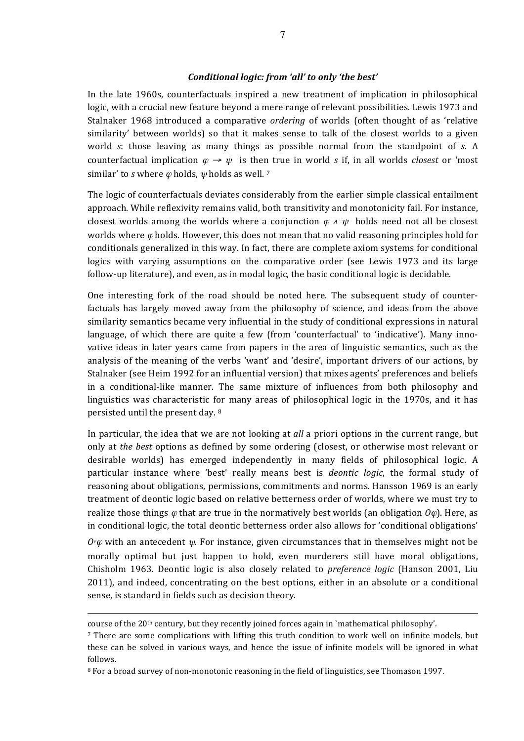#### *Conditional logic: from 'all' to only 'the best'*

In the late 1960s, counterfactuals inspired a new treatment of implication in philosophical logic, with a crucial new feature beyond a mere range of relevant possibilities. Lewis 1973 and Stalnaker 1968 introduced a comparative *ordering* of worlds (often thought of as 'relative similarity' between worlds) so that it makes sense to talk of the closest worlds to a given world *s*: those leaving as many things as possible normal from the standpoint of *s*. A counterfactual implication  $\varphi \to \psi$  is then true in world *s* if, in all worlds *closest* or 'most similar' to *s* where  $\varphi$  holds,  $\psi$  holds as well. <sup>7</sup>

The logic of counterfactuals deviates considerably from the earlier simple classical entailment approach. While reflexivity remains valid, both transitivity and monotonicity fail. For instance, closest worlds among the worlds where a conjunction  $\varphi \land \psi$  holds need not all be closest worlds where  $\varphi$  holds. However, this does not mean that no valid reasoning principles hold for conditionals generalized in this way. In fact, there are complete axiom systems for conditional logics with varying assumptions on the comparative order (see Lewis 1973 and its large follow-up literature), and even, as in modal logic, the basic conditional logic is decidable.

One interesting fork of the road should be noted here. The subsequent study of counterfactuals has largely moved away from the philosophy of science, and ideas from the above similarity semantics became very influential in the study of conditional expressions in natural language, of which there are quite a few (from 'counterfactual' to 'indicative'). Many innovative ideas in later years came from papers in the area of linguistic semantics, such as the analysis of the meaning of the verbs 'want' and 'desire', important drivers of our actions, by Stalnaker (see Heim 1992 for an influential version) that mixes agents' preferences and beliefs in a conditional-like manner. The same mixture of influences from both philosophy and linguistics was characteristic for many areas of philosophical logic in the 1970s, and it has persisted until the present day. 8

In particular, the idea that we are not looking at *all* a priori options in the current range, but only at *the best* options as defined by some ordering (closest, or otherwise most relevant or desirable worlds) has emerged independently in many fields of philosophical logic. A particular instance where 'best' really means best is *deontic logic*, the formal study of reasoning about obligations, permissions, commitments and norms. Hansson 1969 is an early treatment of deontic logic based on relative betterness order of worlds, where we must try to realize those things  $\varphi$  that are true in the normatively best worlds (an obligation  $O\varphi$ ). Here, as in conditional logic, the total deontic betterness order also allows for 'conditional obligations'  $O^{\psi}\varphi$  with an antecedent  $\psi$ . For instance, given circumstances that in themselves might not be morally optimal but just happen to hold, even murderers still have moral obligations, Chisholm 1963. Deontic logic is also closely related to *preference logic* (Hanson 2001, Liu 2011), and indeed, concentrating on the best options, either in an absolute or a conditional sense, is standard in fields such as decision theory.

course of the 20<sup>th</sup> century, but they recently joined forces again in `mathematical philosophy'.

<sup>7</sup> There are some complications with lifting this truth condition to work well on infinite models, but these can be solved in various ways, and hence the issue of infinite models will be ignored in what follows.

<sup>&</sup>lt;sup>8</sup> For a broad survey of non-monotonic reasoning in the field of linguistics, see Thomason 1997.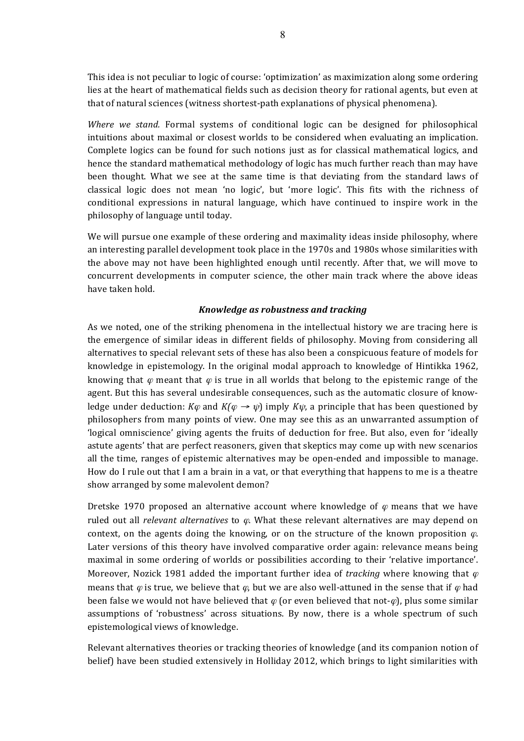This idea is not peculiar to logic of course: 'optimization' as maximization along some ordering lies at the heart of mathematical fields such as decision theory for rational agents, but even at that of natural sciences (witness shortest-path explanations of physical phenomena).

*Where* we stand. Formal systems of conditional logic can be designed for philosophical intuitions about maximal or closest worlds to be considered when evaluating an implication. Complete logics can be found for such notions just as for classical mathematical logics, and hence the standard mathematical methodology of logic has much further reach than may have been thought. What we see at the same time is that deviating from the standard laws of classical logic does not mean 'no logic', but 'more logic'. This fits with the richness of conditional expressions in natural language, which have continued to inspire work in the philosophy of language until today.

We will pursue one example of these ordering and maximality ideas inside philosophy, where an interesting parallel development took place in the 1970s and 1980s whose similarities with the above may not have been highlighted enough until recently. After that, we will move to concurrent developments in computer science, the other main track where the above ideas have taken hold.

## *Knowledge as robustness and tracking*

As we noted, one of the striking phenomena in the intellectual history we are tracing here is the emergence of similar ideas in different fields of philosophy. Moving from considering all alternatives to special relevant sets of these has also been a conspicuous feature of models for knowledge in epistemology. In the original modal approach to knowledge of Hintikka 1962, knowing that  $\varphi$  meant that  $\varphi$  is true in all worlds that belong to the epistemic range of the agent. But this has several undesirable consequences, such as the automatic closure of knowledge under deduction:  $K\varphi$  and  $K(\varphi \rightarrow \psi)$  imply  $K\psi$ , a principle that has been questioned by philosophers from many points of view. One may see this as an unwarranted assumption of 'logical omniscience' giving agents the fruits of deduction for free. But also, even for 'ideally astute agents' that are perfect reasoners, given that skeptics may come up with new scenarios all the time, ranges of epistemic alternatives may be open-ended and impossible to manage. How do I rule out that I am a brain in a vat, or that everything that happens to me is a theatre show arranged by some malevolent demon?

Dretske 1970 proposed an alternative account where knowledge of  $\varphi$  means that we have ruled out all *relevant alternatives* to  $\varphi$ . What these relevant alternatives are may depend on context, on the agents doing the knowing, or on the structure of the known proposition  $\varphi$ . Later versions of this theory have involved comparative order again: relevance means being maximal in some ordering of worlds or possibilities according to their 'relative importance'. Moreover, Nozick 1981 added the important further idea of *tracking* where knowing that  $\varphi$ means that  $\varphi$  is true, we believe that  $\varphi$ , but we are also well-attuned in the sense that if  $\varphi$  had been false we would not have believed that  $\varphi$  (or even believed that not- $\varphi$ ), plus some similar assumptions of 'robustness' across situations. By now, there is a whole spectrum of such epistemological views of knowledge.

Relevant alternatives theories or tracking theories of knowledge (and its companion notion of belief) have been studied extensively in Holliday 2012, which brings to light similarities with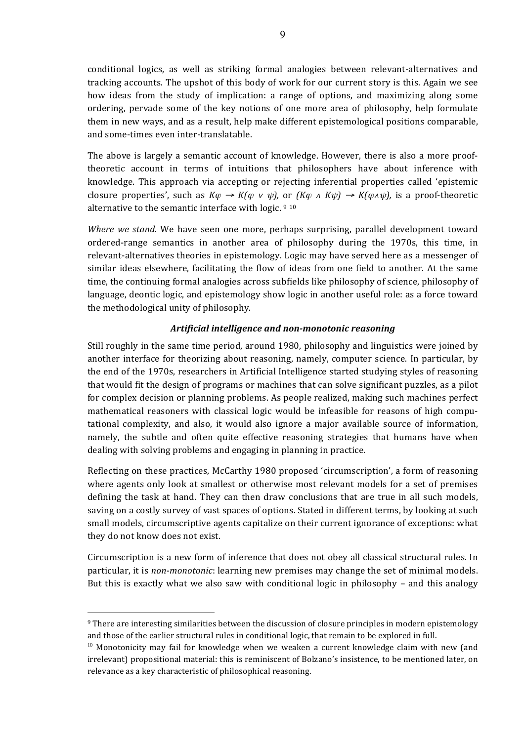conditional logics, as well as striking formal analogies between relevant-alternatives and tracking accounts. The upshot of this body of work for our current story is this. Again we see how ideas from the study of implication: a range of options, and maximizing along some ordering, pervade some of the key notions of one more area of philosophy, help formulate them in new ways, and as a result, help make different epistemological positions comparable, and some-times even inter-translatable.

The above is largely a semantic account of knowledge. However, there is also a more prooftheoretic account in terms of intuitions that philosophers have about inference with knowledge. This approach via accepting or rejecting inferential properties called 'epistemic closure properties', such as  $K\varphi \to K(\varphi \lor \psi)$ , or  $(K\varphi \land K\psi) \to K(\varphi \land \psi)$ , is a proof-theoretic alternative to the semantic interface with logic.  $910$ 

*Where* we stand. We have seen one more, perhaps surprising, parallel development toward ordered-range semantics in another area of philosophy during the 1970s, this time, in relevant-alternatives theories in epistemology. Logic may have served here as a messenger of similar ideas elsewhere, facilitating the flow of ideas from one field to another. At the same time, the continuing formal analogies across subfields like philosophy of science, philosophy of language, deontic logic, and epistemology show logic in another useful role: as a force toward the methodological unity of philosophy.

## Artificial intelligence and non-monotonic reasoning

Still roughly in the same time period, around 1980, philosophy and linguistics were joined by another interface for theorizing about reasoning, namely, computer science. In particular, by the end of the 1970s, researchers in Artificial Intelligence started studying styles of reasoning that would fit the design of programs or machines that can solve significant puzzles, as a pilot for complex decision or planning problems. As people realized, making such machines perfect mathematical reasoners with classical logic would be infeasible for reasons of high computational complexity, and also, it would also ignore a major available source of information, namely, the subtle and often quite effective reasoning strategies that humans have when dealing with solving problems and engaging in planning in practice.

Reflecting on these practices, McCarthy 1980 proposed 'circumscription', a form of reasoning where agents only look at smallest or otherwise most relevant models for a set of premises defining the task at hand. They can then draw conclusions that are true in all such models, saving on a costly survey of vast spaces of options. Stated in different terms, by looking at such small models, circumscriptive agents capitalize on their current ignorance of exceptions: what they do not know does not exist.

Circumscription is a new form of inference that does not obey all classical structural rules. In particular, it is *non-monotonic*: learning new premises may change the set of minimal models. But this is exactly what we also saw with conditional logic in philosophy – and this analogy

 $9$  There are interesting similarities between the discussion of closure principles in modern epistemology and those of the earlier structural rules in conditional logic, that remain to be explored in full.

 $10$  Monotonicity may fail for knowledge when we weaken a current knowledge claim with new (and irrelevant) propositional material: this is reminiscent of Bolzano's insistence, to be mentioned later, on relevance as a key characteristic of philosophical reasoning.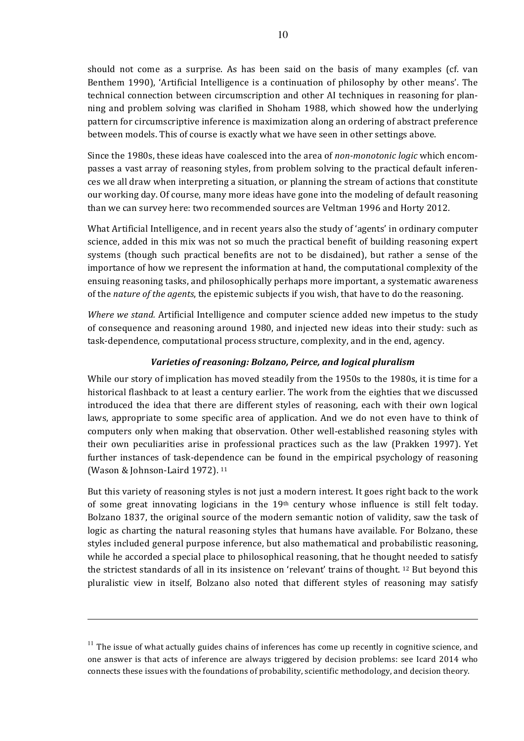should not come as a surprise. As has been said on the basis of many examples (cf. van Benthem 1990), 'Artificial Intelligence is a continuation of philosophy by other means'. The technical connection between circumscription and other AI techniques in reasoning for planning and problem solving was clarified in Shoham 1988, which showed how the underlying pattern for circumscriptive inference is maximization along an ordering of abstract preference between models. This of course is exactly what we have seen in other settings above.

Since the 1980s, these ideas have coalesced into the area of *non-monotonic logic* which encompasses a vast array of reasoning styles, from problem solving to the practical default inferences we all draw when interpreting a situation, or planning the stream of actions that constitute our working day. Of course, many more ideas have gone into the modeling of default reasoning than we can survey here: two recommended sources are Veltman 1996 and Horty 2012.

What Artificial Intelligence, and in recent years also the study of 'agents' in ordinary computer science, added in this mix was not so much the practical benefit of building reasoning expert systems (though such practical benefits are not to be disdained), but rather a sense of the importance of how we represent the information at hand, the computational complexity of the ensuing reasoning tasks, and philosophically perhaps more important, a systematic awareness of the *nature* of the *agents*, the epistemic subjects if you wish, that have to do the reasoning.

*Where we stand.* Artificial Intelligence and computer science added new impetus to the study of consequence and reasoning around 1980, and injected new ideas into their study: such as task-dependence, computational process structure, complexity, and in the end, agency.

# *Varieties of reasoning: Bolzano, Peirce, and logical pluralism*

While our story of implication has moved steadily from the 1950s to the 1980s, it is time for a historical flashback to at least a century earlier. The work from the eighties that we discussed introduced the idea that there are different styles of reasoning, each with their own logical laws, appropriate to some specific area of application. And we do not even have to think of computers only when making that observation. Other well-established reasoning styles with their own peculiarities arise in professional practices such as the law (Prakken 1997). Yet further instances of task-dependence can be found in the empirical psychology of reasoning (Wason & Johnson-Laird 1972).  $11$ 

But this variety of reasoning styles is not just a modern interest. It goes right back to the work of some great innovating logicians in the 19th century whose influence is still felt today. Bolzano 1837, the original source of the modern semantic notion of validity, saw the task of logic as charting the natural reasoning styles that humans have available. For Bolzano, these styles included general purpose inference, but also mathematical and probabilistic reasoning, while he accorded a special place to philosophical reasoning, that he thought needed to satisfy the strictest standards of all in its insistence on 'relevant' trains of thought.  $12$  But beyond this pluralistic view in itself, Bolzano also noted that different styles of reasoning may satisfy

 $11$  The issue of what actually guides chains of inferences has come up recently in cognitive science, and one answer is that acts of inference are always triggered by decision problems: see Icard 2014 who connects these issues with the foundations of probability, scientific methodology, and decision theory.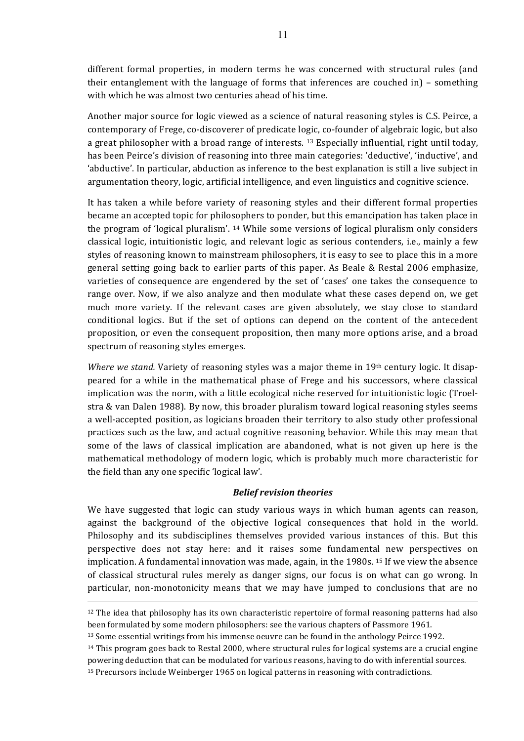different formal properties, in modern terms he was concerned with structural rules (and their entanglement with the language of forms that inferences are couched in) – something with which he was almost two centuries ahead of his time.

Another major source for logic viewed as a science of natural reasoning styles is C.S. Peirce, a contemporary of Frege, co-discoverer of predicate logic, co-founder of algebraic logic, but also a great philosopher with a broad range of interests.  $^{13}$  Especially influential, right until today, has been Peirce's division of reasoning into three main categories: 'deductive', 'inductive', and 'abductive'. In particular, abduction as inference to the best explanation is still a live subject in argumentation theory, logic, artificial intelligence, and even linguistics and cognitive science.

It has taken a while before variety of reasoning styles and their different formal properties became an accepted topic for philosophers to ponder, but this emancipation has taken place in the program of 'logical pluralism'.  $14$  While some versions of logical pluralism only considers classical logic, intuitionistic logic, and relevant logic as serious contenders, i.e., mainly a few styles of reasoning known to mainstream philosophers, it is easy to see to place this in a more general setting going back to earlier parts of this paper. As Beale & Restal 2006 emphasize, varieties of consequence are engendered by the set of 'cases' one takes the consequence to range over. Now, if we also analyze and then modulate what these cases depend on, we get much more variety. If the relevant cases are given absolutely, we stay close to standard conditional logics. But if the set of options can depend on the content of the antecedent proposition, or even the consequent proposition, then many more options arise, and a broad spectrum of reasoning styles emerges.

*Where we stand.* Variety of reasoning styles was a major theme in 19<sup>th</sup> century logic. It disappeared for a while in the mathematical phase of Frege and his successors, where classical implication was the norm, with a little ecological niche reserved for intuitionistic logic (Troelstra & van Dalen 1988). By now, this broader pluralism toward logical reasoning styles seems a well-accepted position, as logicians broaden their territory to also study other professional practices such as the law, and actual cognitive reasoning behavior. While this may mean that some of the laws of classical implication are abandoned, what is not given up here is the mathematical methodology of modern logic, which is probably much more characteristic for the field than any one specific 'logical law'.

## *Belief revision theories*

We have suggested that logic can study various ways in which human agents can reason, against the background of the objective logical consequences that hold in the world. Philosophy and its subdisciplines themselves provided various instances of this. But this perspective does not stay here: and it raises some fundamental new perspectives on implication. A fundamental innovation was made, again, in the  $1980s$ . <sup>15</sup> If we view the absence of classical structural rules merely as danger signs, our focus is on what can go wrong. In particular, non-monotonicity means that we may have jumped to conclusions that are no

 $12$  The idea that philosophy has its own characteristic repertoire of formal reasoning patterns had also been formulated by some modern philosophers: see the various chapters of Passmore 1961.

<sup>&</sup>lt;sup>13</sup> Some essential writings from his immense oeuvre can be found in the anthology Peirce 1992.

 $14$  This program goes back to Restal 2000, where structural rules for logical systems are a crucial engine powering deduction that can be modulated for various reasons, having to do with inferential sources.

<sup>&</sup>lt;sup>15</sup> Precursors include Weinberger 1965 on logical patterns in reasoning with contradictions.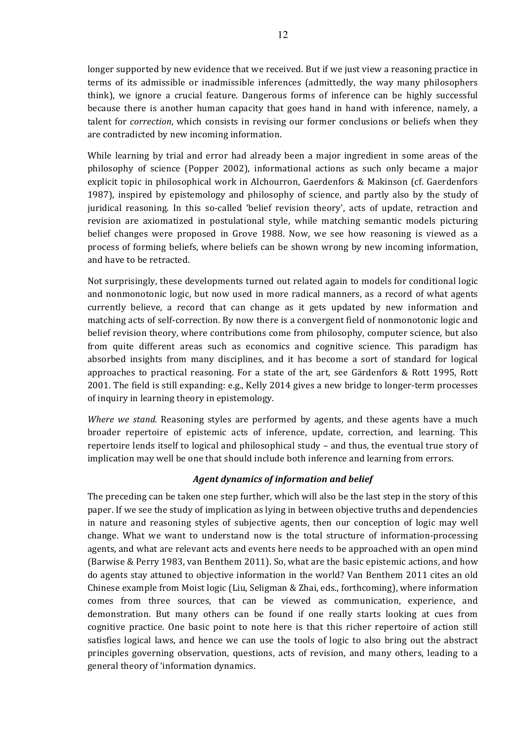longer supported by new evidence that we received. But if we just view a reasoning practice in terms of its admissible or inadmissible inferences (admittedly, the way many philosophers think), we ignore a crucial feature. Dangerous forms of inference can be highly successful because there is another human capacity that goes hand in hand with inference, namely, a talent for *correction*, which consists in revising our former conclusions or beliefs when they are contradicted by new incoming information.

While learning by trial and error had already been a major ingredient in some areas of the philosophy of science (Popper 2002), informational actions as such only became a major explicit topic in philosophical work in Alchourron, Gaerdenfors & Makinson (cf. Gaerdenfors 1987), inspired by epistemology and philosophy of science, and partly also by the study of juridical reasoning. In this so-called 'belief revision theory', acts of update, retraction and revision are axiomatized in postulational style, while matching semantic models picturing belief changes were proposed in Grove 1988. Now, we see how reasoning is viewed as a process of forming beliefs, where beliefs can be shown wrong by new incoming information, and have to be retracted.

Not surprisingly, these developments turned out related again to models for conditional logic and nonmonotonic logic, but now used in more radical manners, as a record of what agents currently believe, a record that can change as it gets updated by new information and matching acts of self-correction. By now there is a convergent field of nonmonotonic logic and belief revision theory, where contributions come from philosophy, computer science, but also from quite different areas such as economics and cognitive science. This paradigm has absorbed insights from many disciplines, and it has become a sort of standard for logical approaches to practical reasoning. For a state of the art, see Gärdenfors  $\&$  Rott 1995, Rott 2001. The field is still expanding: e.g., Kelly 2014 gives a new bridge to longer-term processes of inquiry in learning theory in epistemology.

*Where* we stand. Reasoning styles are performed by agents, and these agents have a much broader repertoire of epistemic acts of inference, update, correction, and learning. This repertoire lends itself to logical and philosophical study – and thus, the eventual true story of implication may well be one that should include both inference and learning from errors.

# *Agent dynamics of information and belief*

The preceding can be taken one step further, which will also be the last step in the story of this paper. If we see the study of implication as lying in between objective truths and dependencies in nature and reasoning styles of subjective agents, then our conception of logic may well change. What we want to understand now is the total structure of information-processing agents, and what are relevant acts and events here needs to be approached with an open mind (Barwise & Perry 1983, van Benthem 2011). So, what are the basic epistemic actions, and how do agents stay attuned to objective information in the world? Van Benthem 2011 cites an old Chinese example from Moist logic (Liu, Seligman  $&$  Zhai, eds., forthcoming), where information comes from three sources, that can be viewed as communication, experience, and demonstration. But many others can be found if one really starts looking at cues from cognitive practice. One basic point to note here is that this richer repertoire of action still satisfies logical laws, and hence we can use the tools of logic to also bring out the abstract principles governing observation, questions, acts of revision, and many others, leading to a general theory of 'information dynamics.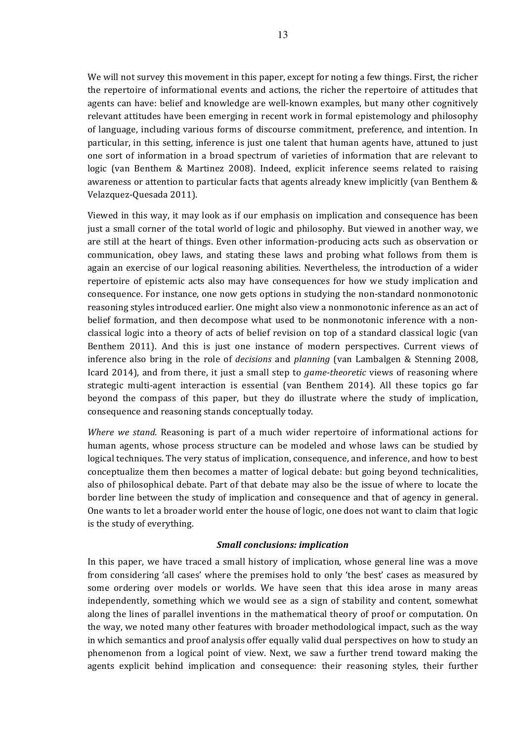We will not survey this movement in this paper, except for noting a few things. First, the richer the repertoire of informational events and actions, the richer the repertoire of attitudes that agents can have: belief and knowledge are well-known examples, but many other cognitively relevant attitudes have been emerging in recent work in formal epistemology and philosophy of language, including various forms of discourse commitment, preference, and intention. In particular, in this setting, inference is just one talent that human agents have, attuned to just one sort of information in a broad spectrum of varieties of information that are relevant to logic (van Benthem & Martinez 2008). Indeed, explicit inference seems related to raising awareness or attention to particular facts that agents already knew implicitly (van Benthem  $\&$ Velazquez-Quesada 2011). 

Viewed in this way, it may look as if our emphasis on implication and consequence has been just a small corner of the total world of logic and philosophy. But viewed in another way, we are still at the heart of things. Even other information-producing acts such as observation or communication, obey laws, and stating these laws and probing what follows from them is again an exercise of our logical reasoning abilities. Nevertheless, the introduction of a wider repertoire of epistemic acts also may have consequences for how we study implication and consequence. For instance, one now gets options in studying the non-standard nonmonotonic reasoning styles introduced earlier. One might also view a nonmonotonic inference as an act of belief formation, and then decompose what used to be nonmonotonic inference with a nonclassical logic into a theory of acts of belief revision on top of a standard classical logic (van Benthem 2011). And this is just one instance of modern perspectives. Current views of inference also bring in the role of *decisions* and *planning* (van Lambalgen & Stenning 2008, Icard 2014), and from there, it just a small step to *game-theoretic* views of reasoning where strategic multi-agent interaction is essential (van Benthem 2014). All these topics go far beyond the compass of this paper, but they do illustrate where the study of implication, consequence and reasoning stands conceptually today.

*Where* we stand. Reasoning is part of a much wider repertoire of informational actions for human agents, whose process structure can be modeled and whose laws can be studied by logical techniques. The very status of implication, consequence, and inference, and how to best conceptualize them then becomes a matter of logical debate: but going beyond technicalities, also of philosophical debate. Part of that debate may also be the issue of where to locate the border line between the study of implication and consequence and that of agency in general. One wants to let a broader world enter the house of logic, one does not want to claim that logic is the study of everything.

## *Small conclusions: implication*

In this paper, we have traced a small history of implication, whose general line was a move from considering 'all cases' where the premises hold to only 'the best' cases as measured by some ordering over models or worlds. We have seen that this idea arose in many areas independently, something which we would see as a sign of stability and content, somewhat along the lines of parallel inventions in the mathematical theory of proof or computation. On the way, we noted many other features with broader methodological impact, such as the way in which semantics and proof analysis offer equally valid dual perspectives on how to study an phenomenon from a logical point of view. Next, we saw a further trend toward making the agents explicit behind implication and consequence: their reasoning styles, their further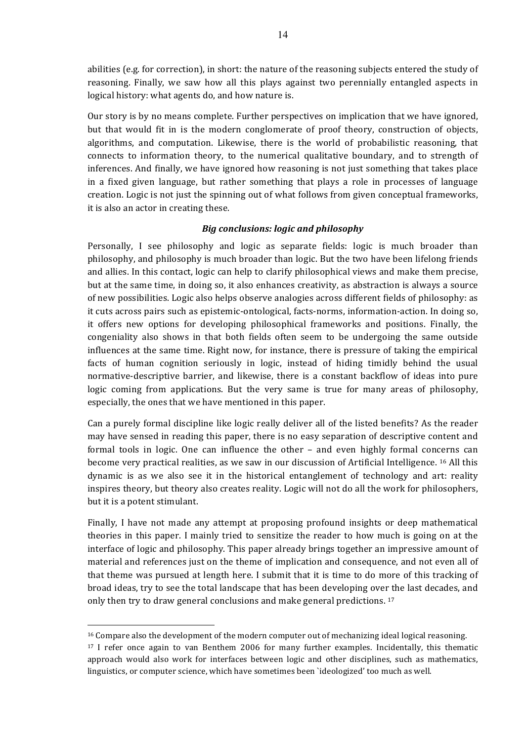abilities (e.g. for correction), in short: the nature of the reasoning subjects entered the study of reasoning. Finally, we saw how all this plays against two perennially entangled aspects in logical history: what agents do, and how nature is.

Our story is by no means complete. Further perspectives on implication that we have ignored, but that would fit in is the modern conglomerate of proof theory, construction of objects, algorithms, and computation. Likewise, there is the world of probabilistic reasoning, that connects to information theory, to the numerical qualitative boundary, and to strength of inferences. And finally, we have ignored how reasoning is not just something that takes place in a fixed given language, but rather something that plays a role in processes of language creation. Logic is not just the spinning out of what follows from given conceptual frameworks, it is also an actor in creating these.

# *Big conclusions: logic and philosophy*

Personally, I see philosophy and logic as separate fields: logic is much broader than philosophy, and philosophy is much broader than logic. But the two have been lifelong friends and allies. In this contact, logic can help to clarify philosophical views and make them precise, but at the same time, in doing so, it also enhances creativity, as abstraction is always a source of new possibilities. Logic also helps observe analogies across different fields of philosophy: as it cuts across pairs such as epistemic-ontological, facts-norms, information-action. In doing so, it offers new options for developing philosophical frameworks and positions. Finally, the congeniality also shows in that both fields often seem to be undergoing the same outside influences at the same time. Right now, for instance, there is pressure of taking the empirical facts of human cognition seriously in logic, instead of hiding timidly behind the usual normative-descriptive barrier, and likewise, there is a constant backflow of ideas into pure logic coming from applications. But the very same is true for many areas of philosophy, especially, the ones that we have mentioned in this paper.

Can a purely formal discipline like logic really deliver all of the listed benefits? As the reader may have sensed in reading this paper, there is no easy separation of descriptive content and formal tools in logic. One can influence the other – and even highly formal concerns can become very practical realities, as we saw in our discussion of Artificial Intelligence. <sup>16</sup> All this dynamic is as we also see it in the historical entanglement of technology and art: reality inspires theory, but theory also creates reality. Logic will not do all the work for philosophers, but it is a potent stimulant.

Finally, I have not made any attempt at proposing profound insights or deep mathematical theories in this paper. I mainly tried to sensitize the reader to how much is going on at the interface of logic and philosophy. This paper already brings together an impressive amount of material and references just on the theme of implication and consequence, and not even all of that theme was pursued at length here. I submit that it is time to do more of this tracking of broad ideas, try to see the total landscape that has been developing over the last decades, and only then try to draw general conclusions and make general predictions.<sup>17</sup>

<sup>&</sup>lt;sup>16</sup> Compare also the development of the modern computer out of mechanizing ideal logical reasoning.

 $17$  I refer once again to van Benthem 2006 for many further examples. Incidentally, this thematic approach would also work for interfaces between logic and other disciplines, such as mathematics, linguistics, or computer science, which have sometimes been `ideologized' too much as well.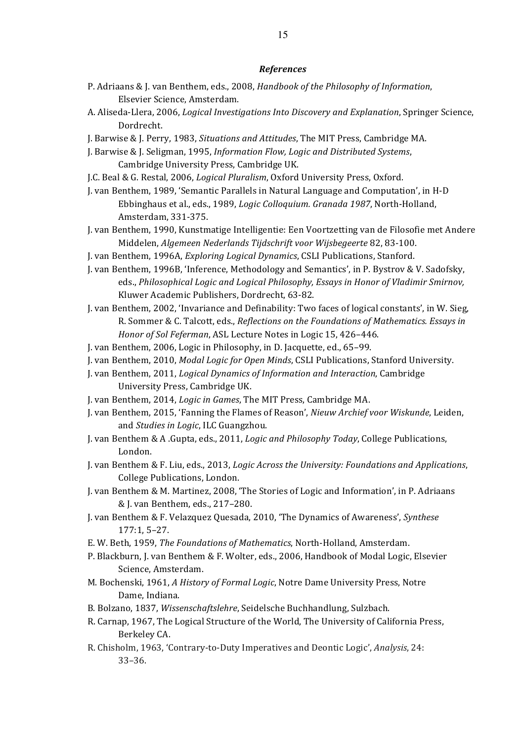#### *References*

- P. Adriaans & J. van Benthem, eds., 2008, *Handbook of the Philosophy of Information*, Elsevier Science, Amsterdam.
- A. Aliseda-Llera, 2006, *Logical Investigations Into Discovery and Explanation*, Springer Science, Dordrecht.
- J. Barwise & J. Perry, 1983, *Situations and Attitudes*, The MIT Press, Cambridge MA.
- J. Barwise & J. Seligman, 1995, *Information Flow, Logic and Distributed Systems*, Cambridge University Press, Cambridge UK.
- J.C. Beal & G. Restal, 2006, *Logical Pluralism*, Oxford University Press, Oxford.
- J. van Benthem, 1989, 'Semantic Parallels in Natural Language and Computation', in H-D Ebbinghaus et al., eds., 1989, *Logic Colloquium. Granada 1987*, North-Holland, Amsterdam, 331-375.
- J. van Benthem, 1990, Kunstmatige Intelligentie: Een Voortzetting van de Filosofie met Andere Middelen, *Algemeen Nederlands Tijdschrift voor Wijsbegeerte* 82, 83-100.
- J. van Benthem, 1996A, *Exploring Logical Dynamics*, CSLI Publications, Stanford.
- J. van Benthem, 1996B, 'Inference, Methodology and Semantics', in P. Bystrov & V. Sadofsky, eds., Philosophical Logic and Logical Philosophy, Essays in Honor of Vladimir Smirnov, Kluwer Academic Publishers, Dordrecht, 63-82.
- J. van Benthem, 2002, 'Invariance and Definability: Two faces of logical constants', in W. Sieg, R. Sommer & C. Talcott, eds., *Reflections on the Foundations of Mathematics. Essays in Honor of Sol Feferman, ASL Lecture Notes in Logic 15, 426-446.*
- J. van Benthem, 2006, Logic in Philosophy, in D. Jacquette, ed., 65–99.
- J. van Benthem, 2010, *Modal Logic for Open Minds*, CSLI Publications, Stanford University.
- J. van Benthem, 2011, *Logical Dynamics of Information and Interaction*, Cambridge University Press, Cambridge UK.
- J. van Benthem, 2014, *Logic in Games*, The MIT Press, Cambridge MA.
- J. van Benthem, 2015, 'Fanning the Flames of Reason', *Nieuw Archief voor Wiskunde*, Leiden, and *Studies in Logic*, ILC Guangzhou.
- J. van Benthem & A .Gupta, eds., 2011, *Logic and Philosophy Today*, College Publications, London.
- J. van Benthem & F. Liu, eds., 2013, *Logic Across the University: Foundations and Applications*, College Publications, London.
- J. van Benthem & M. Martinez, 2008, 'The Stories of Logic and Information', in P. Adriaans & J. van Benthem, eds., 217-280.
- J. van Benthem & F. Velazquez Quesada, 2010, 'The Dynamics of Awareness', *Synthese*  $177:1, 5-27.$
- E. W. Beth, 1959, *The Foundations of Mathematics*, North-Holland, Amsterdam.
- P. Blackburn, J. van Benthem & F. Wolter, eds., 2006, Handbook of Modal Logic, Elsevier Science, Amsterdam.
- M. Bochenski, 1961, *A History of Formal Logic*, Notre Dame University Press, Notre Dame, Indiana.
- B. Bolzano, 1837, *Wissenschaftslehre*, Seidelsche Buchhandlung, Sulzbach.
- R. Carnap, 1967, The Logical Structure of the World, The University of California Press, Berkeley CA.
- R. Chisholm, 1963, 'Contrary-to-Duty Imperatives and Deontic Logic', *Analysis*, 24: 33–36.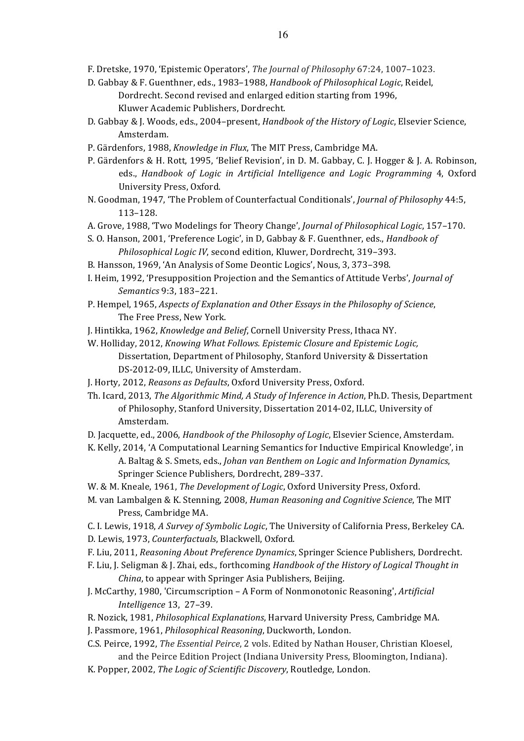F. Dretske, 1970, 'Epistemic Operators', *The Journal of Philosophy* 67:24, 1007-1023.

- D. Gabbay & F. Guenthner, eds., 1983-1988, *Handbook of Philosophical Logic*, Reidel, Dordrecht. Second revised and enlarged edition starting from 1996, Kluwer Academic Publishers, Dordrecht.
- D. Gabbay & J. Woods, eds., 2004–present, *Handbook of the History of Logic*, Elsevier Science, Amsterdam.
- P. Gärdenfors, 1988, *Knowledge in Flux*, The MIT Press, Cambridge MA.
- P. Gärdenfors & H. Rott, 1995, 'Belief Revision', in D. M. Gabbay, C. J. Hogger & J. A. Robinson, eds., *Handbook of Logic in Artificial Intelligence and Logic Programming* 4, Oxford University Press, Oxford.
- N. Goodman, 1947, 'The Problem of Counterfactual Conditionals', *Journal of Philosophy* 44:5, 113–128.
- A. Grove, 1988, 'Two Modelings for Theory Change', *Journal of Philosophical Logic*, 157-170.
- S. O. Hanson, 2001, 'Preference Logic', in D. Gabbay & F. Guenthner, eds., *Handbook of* Philosophical Logic IV, second edition, Kluwer, Dordrecht, 319-393.
- B. Hansson, 1969, 'An Analysis of Some Deontic Logics', Nous, 3, 373–398.
- I. Heim, 1992, 'Presupposition Projection and the Semantics of Attitude Verbs', *Journal of Semantics* 9:3, 183–221.
- P. Hempel, 1965, *Aspects of Explanation and Other Essays in the Philosophy of Science*, The Free Press, New York.
- J. Hintikka, 1962, *Knowledge and Belief*, Cornell University Press, Ithaca NY.
- W. Holliday, 2012, *Knowing What Follows. Epistemic Closure and Epistemic Logic,* Dissertation, Department of Philosophy, Stanford University & Dissertation DS-2012-09, ILLC, University of Amsterdam.
- J. Horty, 2012, *Reasons as Defaults*, Oxford University Press, Oxford.
- Th. Icard, 2013, *The Algorithmic Mind, A Study of Inference in Action*, Ph.D. Thesis, Department of Philosophy, Stanford University, Dissertation 2014-02, ILLC, University of Amsterdam.
- D. Jacquette, ed., 2006, *Handbook of the Philosophy of Logic*, Elsevier Science, Amsterdam.
- K. Kelly, 2014, 'A Computational Learning Semantics for Inductive Empirical Knowledge', in A. Baltag & S. Smets, eds., *Johan van Benthem on Logic and Information Dynamics*, Springer Science Publishers, Dordrecht, 289-337.
- W. & M. Kneale, 1961, *The Development of Logic*, Oxford University Press, Oxford.
- M. van Lambalgen & K. Stenning, 2008, *Human Reasoning and Cognitive Science*, The MIT Press, Cambridge MA.
- C. I. Lewis, 1918, *A Survey of Symbolic Logic*, The University of California Press, Berkeley CA. D. Lewis, 1973, *Counterfactuals*, Blackwell, Oxford.
- F. Liu, 2011, *Reasoning About Preference Dynamics*, Springer Science Publishers, Dordrecht.
- F. Liu, J. Seligman & J. Zhai, eds., forthcoming *Handbook of the History of Logical Thought in China*, to appear with Springer Asia Publishers, Beijing.
- J. McCarthy, 1980, 'Circumscription A Form of Nonmonotonic Reasoning', *Artificial Intelligence* 13, 27–39.
- R. Nozick, 1981, *Philosophical Explanations*, Harvard University Press, Cambridge MA.
- J. Passmore, 1961, *Philosophical Reasoning*, Duckworth, London.
- C.S. Peirce, 1992, *The Essential Peirce*, 2 vols. Edited by Nathan Houser, Christian Kloesel, and the Peirce Edition Project (Indiana University Press, Bloomington, Indiana).
- K. Popper, 2002, *The Logic of Scientific Discovery*, Routledge, London.